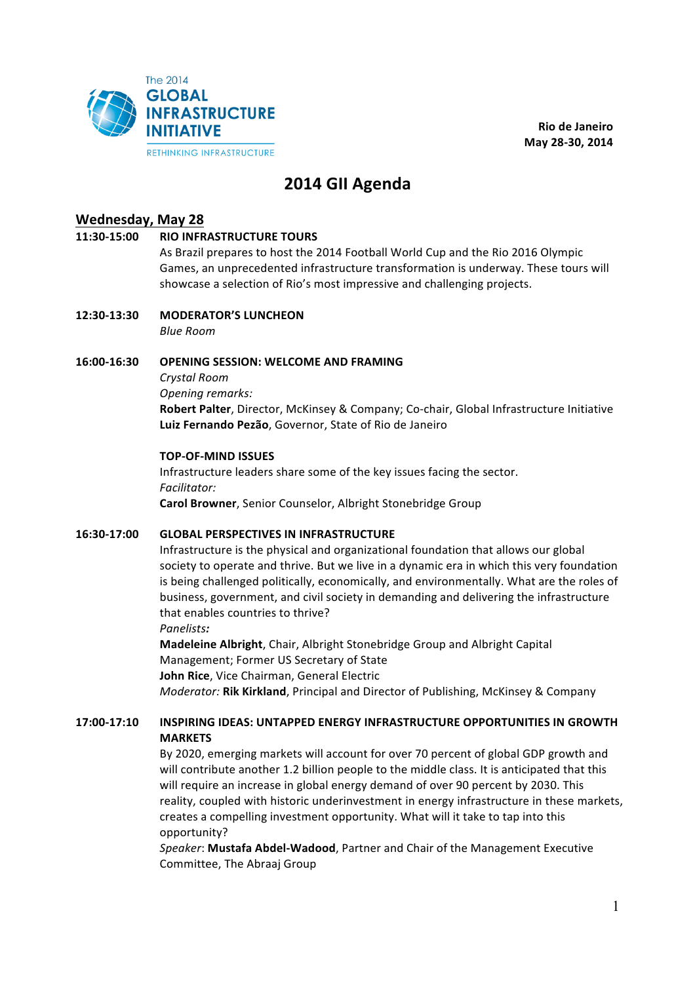

**Rio de Janeiro May 28-30, 2014**

# **2014 GII Agenda**

# **Wednesday, May 28**

# **11:30-15:00 RIO INFRASTRUCTURE TOURS**

As Brazil prepares to host the 2014 Football World Cup and the Rio 2016 Olympic Games, an unprecedented infrastructure transformation is underway. These tours will showcase a selection of Rio's most impressive and challenging projects.

# **12:30-13:30 MODERATOR'S LUNCHEON**

*Blue Room*

# **16:00-16:30 OPENING SESSION: WELCOME AND FRAMING**

# *Crystal Room*

**Opening remarks:** 

**Robert Palter**, Director, McKinsey & Company; Co-chair, Global Infrastructure Initiative Luiz Fernando Pezão, Governor, State of Rio de Janeiro

# **TOP-OF-MIND ISSUES**

Infrastructure leaders share some of the key issues facing the sector. *Facilitator:* **Carol Browner**, Senior Counselor, Albright Stonebridge Group

# **16:30-17:00 GLOBAL PERSPECTIVES IN INFRASTRUCTURE**

Infrastructure is the physical and organizational foundation that allows our global society to operate and thrive. But we live in a dynamic era in which this very foundation is being challenged politically, economically, and environmentally. What are the roles of business, government, and civil society in demanding and delivering the infrastructure that enables countries to thrive?

*Panelists:*

**Madeleine Albright**, Chair, Albright Stonebridge Group and Albright Capital Management; Former US Secretary of State **John Rice**, Vice Chairman, General Electric *Moderator:* **Rik Kirkland**, Principal and Director of Publishing, McKinsey & Company

# **17:00-17:10 INSPIRING IDEAS: UNTAPPED ENERGY INFRASTRUCTURE OPPORTUNITIES IN GROWTH MARKETS**

By 2020, emerging markets will account for over 70 percent of global GDP growth and will contribute another 1.2 billion people to the middle class. It is anticipated that this will require an increase in global energy demand of over 90 percent by 2030. This reality, coupled with historic underinvestment in energy infrastructure in these markets, creates a compelling investment opportunity. What will it take to tap into this opportunity?

Speaker: Mustafa Abdel-Wadood, Partner and Chair of the Management Executive Committee, The Abraaj Group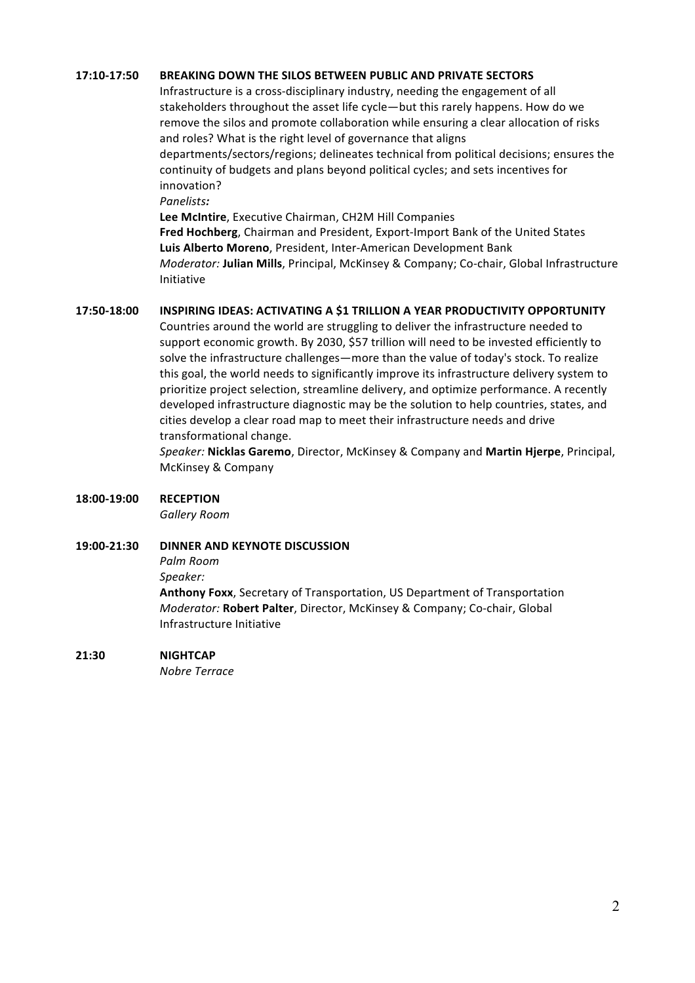# **17:10-17:50 BREAKING DOWN THE SILOS BETWEEN PUBLIC AND PRIVATE SECTORS**

Infrastructure is a cross-disciplinary industry, needing the engagement of all stakeholders throughout the asset life cycle—but this rarely happens. How do we remove the silos and promote collaboration while ensuring a clear allocation of risks and roles? What is the right level of governance that aligns departments/sectors/regions; delineates technical from political decisions; ensures the continuity of budgets and plans beyond political cycles; and sets incentives for innovation? *Panelists:*

Lee McIntire, Executive Chairman, CH2M Hill Companies

**Fred Hochberg**, Chairman and President, Export-Import Bank of the United States Luis Alberto Moreno, President, Inter-American Development Bank *Moderator:* **Julian Mills**, Principal, McKinsey & Company; Co-chair, Global Infrastructure Initiative

# **17:50-18:00 INSPIRING IDEAS: ACTIVATING A \$1 TRILLION A YEAR PRODUCTIVITY OPPORTUNITY**

Countries around the world are struggling to deliver the infrastructure needed to support economic growth. By 2030, \$57 trillion will need to be invested efficiently to solve the infrastructure challenges—more than the value of today's stock. To realize this goal, the world needs to significantly improve its infrastructure delivery system to prioritize project selection, streamline delivery, and optimize performance. A recently developed infrastructure diagnostic may be the solution to help countries, states, and cities develop a clear road map to meet their infrastructure needs and drive transformational change.

*Speaker:* **Nicklas Garemo**, Director, McKinsey & Company and **Martin Hjerpe**, Principal, McKinsey & Company

#### **18:00-19:00 RECEPTION**

*Gallery Room*

# **19:00-21:30 DINNER AND KEYNOTE DISCUSSION**

*Palm Room*

*Speaker:*  Anthony Foxx, Secretary of Transportation, US Department of Transportation *Moderator:* **Robert Palter**, Director, McKinsey & Company; Co-chair, Global Infrastructure Initiative

#### **21:30 NIGHTCAP**

*Nobre Terrace*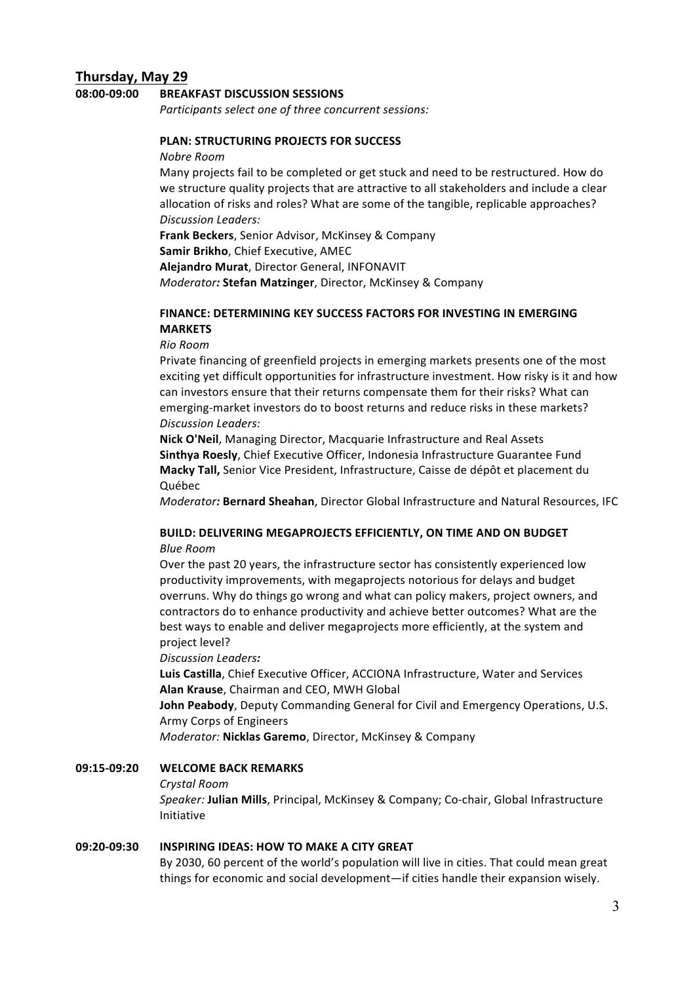# **Thursday, May 29**

# 08:00-09:00 **BREAKFAST DISCUSSION SESSIONS**

Participants select one of three concurrent sessions:

#### **PLAN: STRUCTURING PROJECTS FOR SUCCESS**

*Nobre Room*

Many projects fail to be completed or get stuck and need to be restructured. How do we structure quality projects that are attractive to all stakeholders and include a clear allocation of risks and roles? What are some of the tangible, replicable approaches? *Discussion Leaders:*

**Frank Beckers**, Senior Advisor, McKinsey & Company

**Samir Brikho**, Chief Executive, AMEC

**Alejandro Murat**, Director General, INFONAVIT

*Moderator*: Stefan Matzinger, Director, McKinsey & Company

# **FINANCE: DETERMINING KEY SUCCESS FACTORS FOR INVESTING IN EMERGING MARKETS**

*Rio Room*

Private financing of greenfield projects in emerging markets presents one of the most exciting yet difficult opportunities for infrastructure investment. How risky is it and how can investors ensure that their returns compensate them for their risks? What can emerging-market investors do to boost returns and reduce risks in these markets? *Discussion Leaders:*

**Nick O'Neil**, Managing Director, Macquarie Infrastructure and Real Assets **Sinthya Roesly, Chief Executive Officer, Indonesia Infrastructure Guarantee Fund Macky Tall,** Senior Vice President, Infrastructure, Caisse de dépôt et placement du Québec

*Moderator*: Bernard Sheahan, Director Global Infrastructure and Natural Resources, IFC

# **BUILD: DELIVERING MEGAPROJECTS EFFICIENTLY, ON TIME AND ON BUDGET** *Blue Room*

Over the past 20 years, the infrastructure sector has consistently experienced low productivity improvements, with megaprojects notorious for delays and budget overruns. Why do things go wrong and what can policy makers, project owners, and contractors do to enhance productivity and achieve better outcomes? What are the best ways to enable and deliver megaprojects more efficiently, at the system and project level?

*Discussion Leaders:*

Luis Castilla, Chief Executive Officer, ACCIONA Infrastructure, Water and Services **Alan Krause, Chairman and CEO, MWH Global** 

**John Peabody**, Deputy Commanding General for Civil and Emergency Operations, U.S. Army Corps of Engineers

*Moderator:* **Nicklas Garemo**, Director, McKinsey & Company

#### **09:15-09:20 WELCOME BACK REMARKS**

#### *Crystal Room*

Speaker: **Julian Mills**, Principal, McKinsey & Company; Co-chair, Global Infrastructure Initiative

#### **09:20-09:30 INSPIRING IDEAS: HOW TO MAKE A CITY GREAT**

By 2030, 60 percent of the world's population will live in cities. That could mean great things for economic and social development—if cities handle their expansion wisely.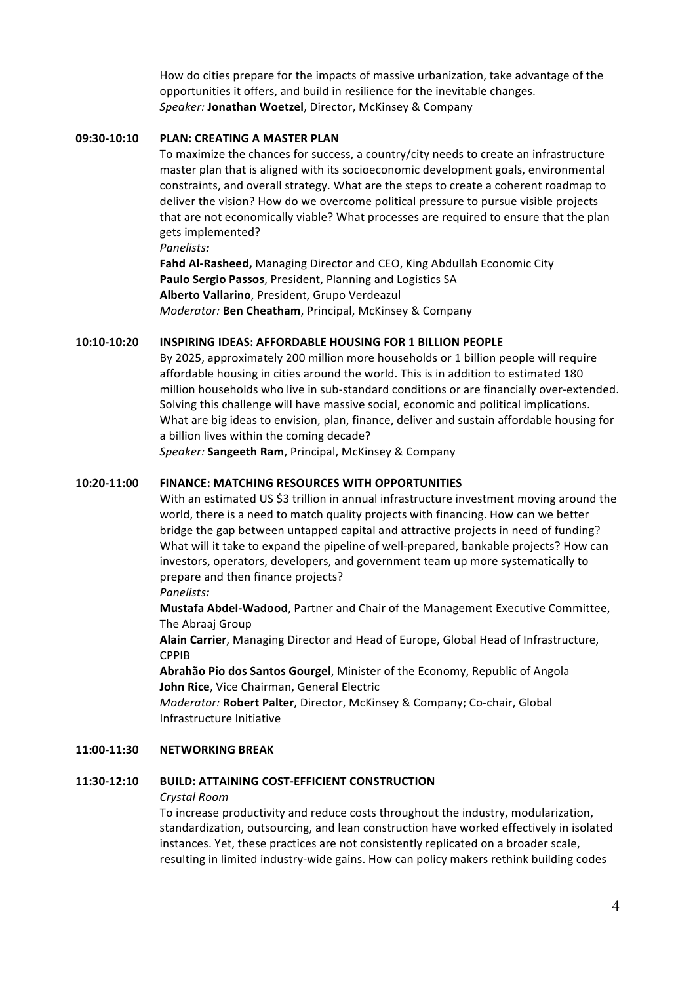How do cities prepare for the impacts of massive urbanization, take advantage of the opportunities it offers, and build in resilience for the inevitable changes. Speaker: **Jonathan Woetzel**, Director, McKinsey & Company

### **09:30-10:10 PLAN: CREATING A MASTER PLAN**

To maximize the chances for success, a country/city needs to create an infrastructure master plan that is aligned with its socioeconomic development goals, environmental constraints, and overall strategy. What are the steps to create a coherent roadmap to deliver the vision? How do we overcome political pressure to pursue visible projects that are not economically viable? What processes are required to ensure that the plan gets implemented?

*Panelists:*

**Fahd Al-Rasheed,** Managing Director and CEO, King Abdullah Economic City Paulo Sergio Passos, President, Planning and Logistics SA **Alberto Vallarino**, President, Grupo Verdeazul *Moderator:* Ben Cheatham, Principal, McKinsey & Company

### **10:10-10:20 INSPIRING IDEAS: AFFORDABLE HOUSING FOR 1 BILLION PEOPLE**

By 2025, approximately 200 million more households or 1 billion people will require affordable housing in cities around the world. This is in addition to estimated 180 million households who live in sub-standard conditions or are financially over-extended. Solving this challenge will have massive social, economic and political implications. What are big ideas to envision, plan, finance, deliver and sustain affordable housing for a billion lives within the coming decade?

Speaker: Sangeeth Ram, Principal, McKinsey & Company

# **10:20-11:00 FINANCE: MATCHING RESOURCES WITH OPPORTUNITIES**

With an estimated US \$3 trillion in annual infrastructure investment moving around the world, there is a need to match quality projects with financing. How can we better bridge the gap between untapped capital and attractive projects in need of funding? What will it take to expand the pipeline of well-prepared, bankable projects? How can investors, operators, developers, and government team up more systematically to prepare and then finance projects?

*Panelists:*

**Mustafa Abdel-Wadood**, Partner and Chair of the Management Executive Committee, The Abraaj Group

Alain Carrier, Managing Director and Head of Europe, Global Head of Infrastructure, CPPIB

Abrahão Pio dos Santos Gourgel, Minister of the Economy, Republic of Angola **John Rice**, Vice Chairman, General Electric

*Moderator:* **Robert Palter**, Director, McKinsey & Company; Co-chair, Global Infrastructure Initiative

#### **11:00-11:30 NETWORKING BREAK**

#### **11:30-12:10 BUILD: ATTAINING COST-EFFICIENT CONSTRUCTION**

#### *Crystal Room*

To increase productivity and reduce costs throughout the industry, modularization, standardization, outsourcing, and lean construction have worked effectively in isolated instances. Yet, these practices are not consistently replicated on a broader scale, resulting in limited industry-wide gains. How can policy makers rethink building codes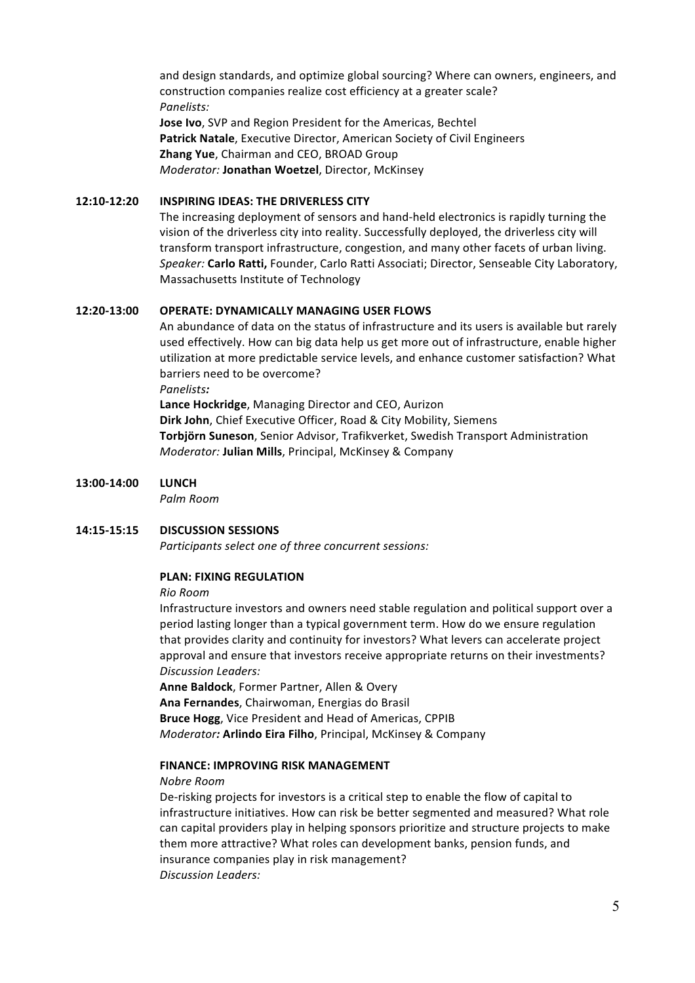and design standards, and optimize global sourcing? Where can owners, engineers, and construction companies realize cost efficiency at a greater scale? *Panelists:* **Jose Ivo**, SVP and Region President for the Americas, Bechtel Patrick Natale, Executive Director, American Society of Civil Engineers **Zhang Yue**, Chairman and CEO, BROAD Group *Moderator:* **Jonathan Woetzel**, Director, McKinsey

#### **12:10-12:20 INSPIRING IDEAS: THE DRIVERLESS CITY**

The increasing deployment of sensors and hand-held electronics is rapidly turning the vision of the driverless city into reality. Successfully deployed, the driverless city will transform transport infrastructure, congestion, and many other facets of urban living. Speaker: Carlo Ratti, Founder, Carlo Ratti Associati; Director, Senseable City Laboratory, Massachusetts Institute of Technology

### 12:20-13:00 OPERATE: DYNAMICALLY MANAGING USER FLOWS

An abundance of data on the status of infrastructure and its users is available but rarely used effectively. How can big data help us get more out of infrastructure, enable higher utilization at more predictable service levels, and enhance customer satisfaction? What barriers need to be overcome?

*Panelists:*

Lance Hockridge, Managing Director and CEO, Aurizon **Dirk John**, Chief Executive Officer, Road & City Mobility, Siemens **Torbjörn Suneson**, Senior Advisor, Trafikverket, Swedish Transport Administration *Moderator:* Julian Mills, Principal, McKinsey & Company

**13:00-14:00 LUNCH**

*Palm Room*

# **14:15-15:15 DISCUSSION SESSIONS** *Participants select one of three concurrent sessions:*

# **PLAN: FIXING REGULATION**

*Rio Room*

Infrastructure investors and owners need stable regulation and political support over a period lasting longer than a typical government term. How do we ensure regulation that provides clarity and continuity for investors? What levers can accelerate project approval and ensure that investors receive appropriate returns on their investments? *Discussion Leaders:*

**Anne Baldock**, Former Partner, Allen & Overy Ana Fernandes, Chairwoman, Energias do Brasil **Bruce Hogg**, Vice President and Head of Americas, CPPIB *Moderator*: **Arlindo Eira Filho**, Principal, McKinsey & Company

#### **FINANCE: IMPROVING RISK MANAGEMENT**

#### *Nobre Room*

De-risking projects for investors is a critical step to enable the flow of capital to infrastructure initiatives. How can risk be better segmented and measured? What role can capital providers play in helping sponsors prioritize and structure projects to make them more attractive? What roles can development banks, pension funds, and insurance companies play in risk management? *Discussion Leaders:*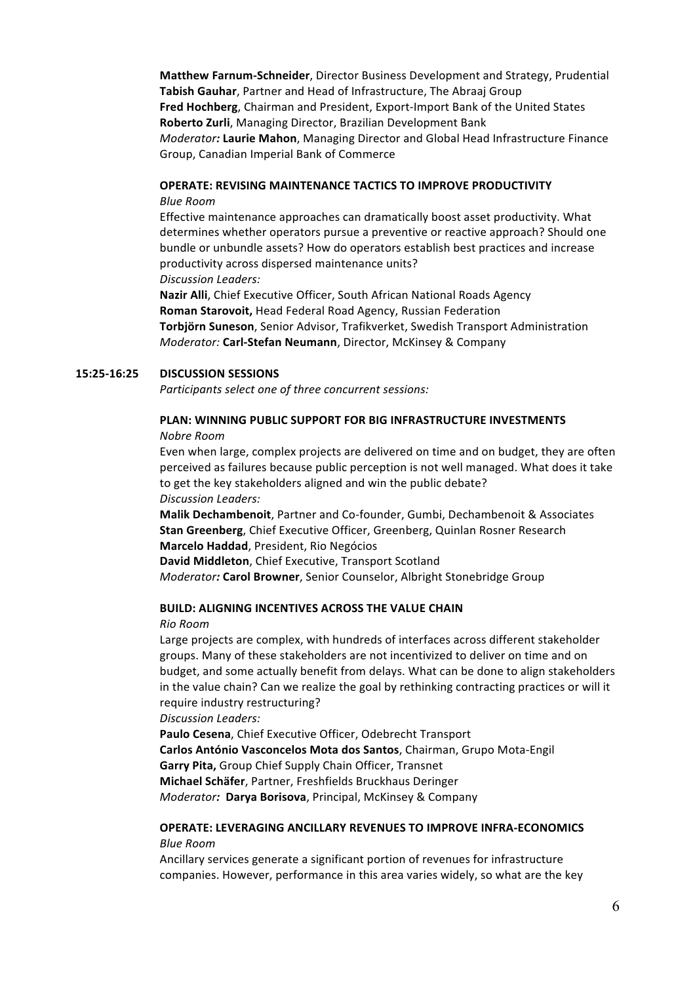**Matthew Farnum-Schneider**, Director Business Development and Strategy, Prudential **Tabish Gauhar, Partner and Head of Infrastructure, The Abraaj Group** Fred Hochberg, Chairman and President, Export-Import Bank of the United States **Roberto Zurli**, Managing Director, Brazilian Development Bank *Moderator*: Laurie Mahon, Managing Director and Global Head Infrastructure Finance Group, Canadian Imperial Bank of Commerce

# **OPERATE: REVISING MAINTENANCE TACTICS TO IMPROVE PRODUCTIVITY** *Blue Room*

Effective maintenance approaches can dramatically boost asset productivity. What determines whether operators pursue a preventive or reactive approach? Should one bundle or unbundle assets? How do operators establish best practices and increase productivity across dispersed maintenance units? *Discussion Leaders:*

Nazir Alli, Chief Executive Officer, South African National Roads Agency **Roman Starovoit, Head Federal Road Agency, Russian Federation Torbjörn Suneson**, Senior Advisor, Trafikverket, Swedish Transport Administration *Moderator:* Carl-Stefan Neumann, Director, McKinsey & Company

### 15:25-16:25 **DISCUSSION SESSIONS**

*Participants select one of three concurrent sessions:* 

# **PLAN: WINNING PUBLIC SUPPORT FOR BIG INFRASTRUCTURE INVESTMENTS** *Nobre Room*

Even when large, complex projects are delivered on time and on budget, they are often perceived as failures because public perception is not well managed. What does it take to get the key stakeholders aligned and win the public debate? *Discussion Leaders:*

**Malik Dechambenoit**, Partner and Co-founder, Gumbi, Dechambenoit & Associates **Stan Greenberg**, Chief Executive Officer, Greenberg, Quinlan Rosner Research **Marcelo Haddad**, President, Rio Negócios

David Middleton, Chief Executive, Transport Scotland *Moderator*: Carol Browner, Senior Counselor, Albright Stonebridge Group

# **BUILD: ALIGNING INCENTIVES ACROSS THE VALUE CHAIN**

#### *Rio Room*

Large projects are complex, with hundreds of interfaces across different stakeholder groups. Many of these stakeholders are not incentivized to deliver on time and on budget, and some actually benefit from delays. What can be done to align stakeholders in the value chain? Can we realize the goal by rethinking contracting practices or will it require industry restructuring?

#### *Discussion Leaders:*

Paulo Cesena, Chief Executive Officer, Odebrecht Transport **Carlos António Vasconcelos Mota dos Santos**, Chairman, Grupo Mota-Engil **Garry Pita, Group Chief Supply Chain Officer, Transnet Michael Schäfer**, Partner, Freshfields Bruckhaus Deringer *Moderator*: Darya Borisova, Principal, McKinsey & Company

# **OPERATE: LEVERAGING ANCILLARY REVENUES TO IMPROVE INFRA-ECONOMICS** *Blue Room*

Ancillary services generate a significant portion of revenues for infrastructure companies. However, performance in this area varies widely, so what are the key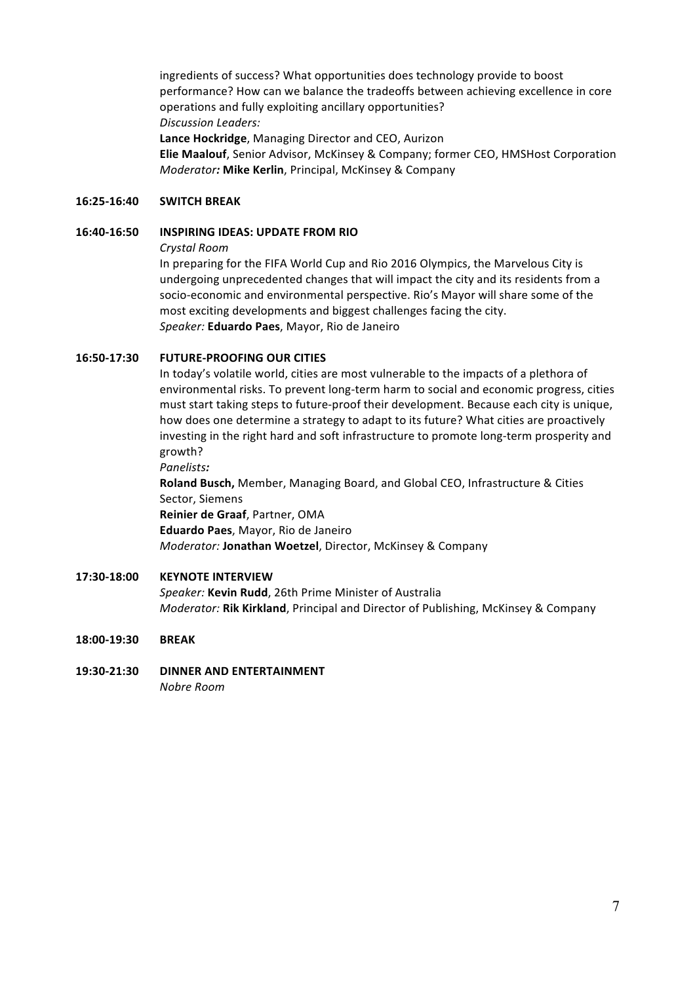ingredients of success? What opportunities does technology provide to boost performance? How can we balance the tradeoffs between achieving excellence in core operations and fully exploiting ancillary opportunities? *Discussion Leaders:* Lance Hockridge, Managing Director and CEO, Aurizon

**Elie Maalouf**, Senior Advisor, McKinsey & Company; former CEO, HMSHost Corporation *Moderator*: Mike Kerlin, Principal, McKinsey & Company

## **16:25-16:40 SWITCH BREAK**

### **16:40-16:50 INSPIRING IDEAS: UPDATE FROM RIO**

*Crystal Room*

In preparing for the FIFA World Cup and Rio 2016 Olympics, the Marvelous City is undergoing unprecedented changes that will impact the city and its residents from a socio-economic and environmental perspective. Rio's Mayor will share some of the most exciting developments and biggest challenges facing the city. Speaker: **Eduardo Paes**, Mayor, Rio de Janeiro

# **16:50-17:30 FUTURE-PROOFING OUR CITIES**

In today's volatile world, cities are most vulnerable to the impacts of a plethora of environmental risks. To prevent long-term harm to social and economic progress, cities must start taking steps to future-proof their development. Because each city is unique, how does one determine a strategy to adapt to its future? What cities are proactively investing in the right hard and soft infrastructure to promote long-term prosperity and growth? 

*Panelists:*

**Roland Busch,** Member, Managing Board, and Global CEO, Infrastructure & Cities Sector, Siemens **Reinier de Graaf, Partner, OMA** 

**Eduardo Paes, Mayor, Rio de Janeiro** 

*Moderator:* Jonathan Woetzel, Director, McKinsey & Company

#### **17:30-18:00 KEYNOTE INTERVIEW**

**Speaker: Kevin Rudd**, 26th Prime Minister of Australia *Moderator:* Rik Kirkland, Principal and Director of Publishing, McKinsey & Company

- **18:00-19:30 BREAK**
- **19:30-21:30 DINNER AND ENTERTAINMENT** *Nobre Room*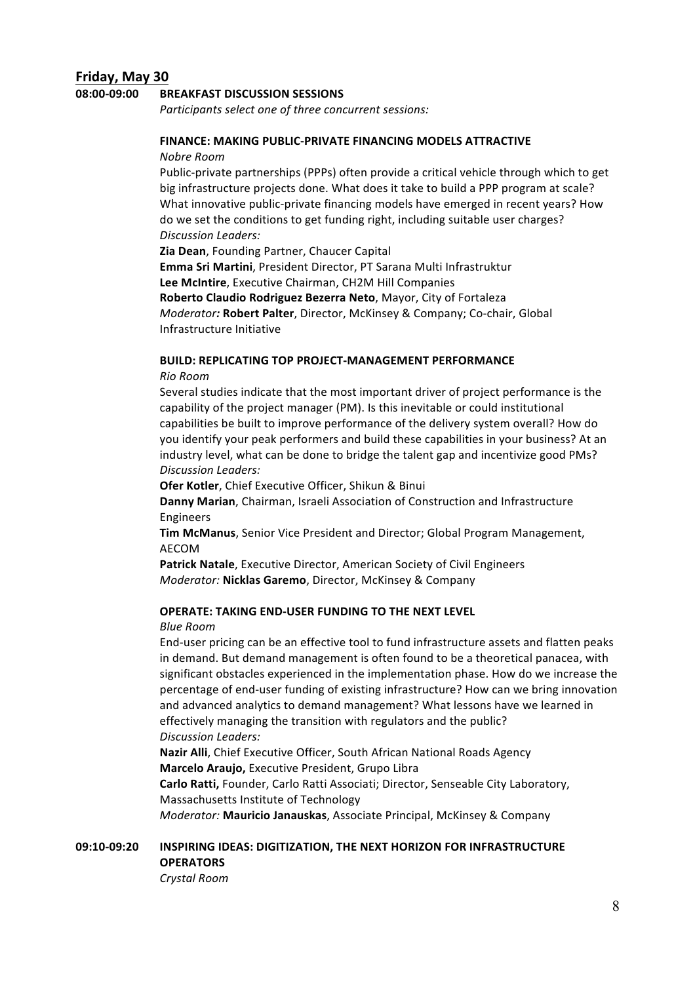# **Friday, May 30**

#### 08:00-09:00 BREAKFAST DISCUSSION SESSIONS

Participants select one of three concurrent sessions:

# **FINANCE: MAKING PUBLIC-PRIVATE FINANCING MODELS ATTRACTIVE**

#### *Nobre Room*

Public-private partnerships (PPPs) often provide a critical vehicle through which to get big infrastructure projects done. What does it take to build a PPP program at scale? What innovative public-private financing models have emerged in recent years? How do we set the conditions to get funding right, including suitable user charges? *Discussion Leaders:*

**Zia Dean**, Founding Partner, Chaucer Capital

**Emma Sri Martini**, President Director, PT Sarana Multi Infrastruktur Lee McIntire, Executive Chairman, CH2M Hill Companies **Roberto Claudio Rodriguez Bezerra Neto**, Mayor, City of Fortaleza *Moderator*: **Robert Palter**, Director, McKinsey & Company; Co-chair, Global Infrastructure Initiative

#### **BUILD: REPLICATING TOP PROJECT-MANAGEMENT PERFORMANCE**

*Rio Room*

Several studies indicate that the most important driver of project performance is the capability of the project manager (PM). Is this inevitable or could institutional capabilities be built to improve performance of the delivery system overall? How do you identify your peak performers and build these capabilities in your business? At an industry level, what can be done to bridge the talent gap and incentivize good PMs? *Discussion Leaders:*

**Ofer Kotler**, Chief Executive Officer, Shikun & Binui

**Danny Marian**, Chairman, Israeli Association of Construction and Infrastructure Engineers

**Tim McManus**, Senior Vice President and Director; Global Program Management, AECOM

Patrick Natale, Executive Director, American Society of Civil Engineers *Moderator:* Nicklas Garemo, Director, McKinsey & Company

#### **OPERATE: TAKING END-USER FUNDING TO THE NEXT LEVEL**

#### *Blue Room*

End-user pricing can be an effective tool to fund infrastructure assets and flatten peaks in demand. But demand management is often found to be a theoretical panacea, with significant obstacles experienced in the implementation phase. How do we increase the percentage of end-user funding of existing infrastructure? How can we bring innovation and advanced analytics to demand management? What lessons have we learned in effectively managing the transition with regulators and the public? *Discussion Leaders:*

**Nazir Alli**, Chief Executive Officer, South African National Roads Agency **Marcelo Araujo, Executive President, Grupo Libra** Carlo Ratti, Founder, Carlo Ratti Associati; Director, Senseable City Laboratory, Massachusetts Institute of Technology

*Moderator:* Mauricio Janauskas, Associate Principal, McKinsey & Company

# **09:10-09:20 INSPIRING IDEAS: DIGITIZATION, THE NEXT HORIZON FOR INFRASTRUCTURE OPERATORS**

*Crystal Room*